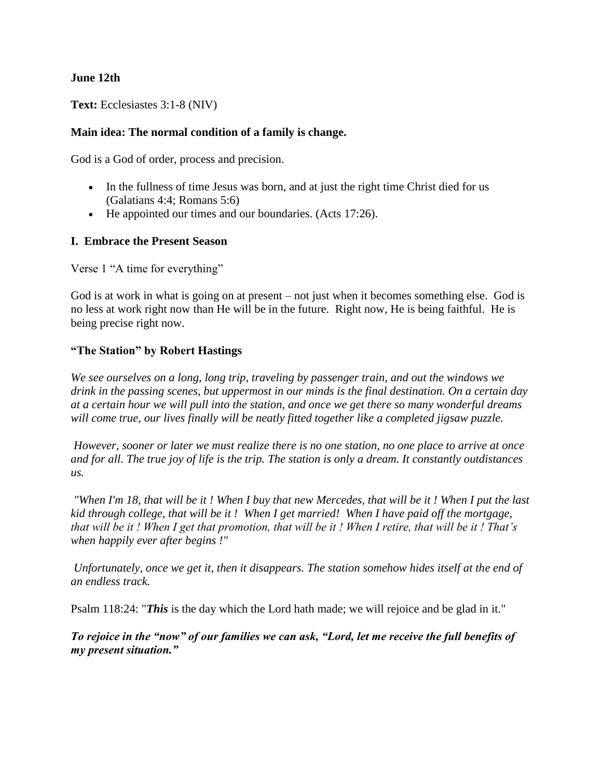#### **June 12th**

**Text:** Ecclesiastes 3:1-8 (NIV)

### **Main idea: The normal condition of a family is change.**

God is a God of order, process and precision.

- In the fullness of time Jesus was born, and at just the right time Christ died for us (Galatians 4:4; Romans 5:6)
- He appointed our times and our boundaries. (Acts 17:26).

#### **I. Embrace the Present Season**

Verse 1 "A time for everything"

God is at work in what is going on at present – not just when it becomes something else. God is no less at work right now than He will be in the future. Right now, He is being faithful. He is being precise right now.

#### **"The Station" by Robert Hastings**

*We see ourselves on a long, long trip, traveling by passenger train, and out the windows we drink in the passing scenes, but uppermost in our minds is the final destination. On a certain day at a certain hour we will pull into the station, and once we get there so many wonderful dreams will come true, our lives finally will be neatly fitted together like a completed jigsaw puzzle.* 

*However, sooner or later we must realize there is no one station, no one place to arrive at once and for all. The true joy of life is the trip. The station is only a dream. It constantly outdistances us.*

*"When I'm 18, that will be it ! When I buy that new Mercedes, that will be it ! When I put the last kid through college, that will be it ! When I get married! When I have paid off the mortgage, that will be it ! When I get that promotion, that will be it ! When I retire, that will be it ! That's when happily ever after begins !"*

*Unfortunately, once we get it, then it disappears. The station somehow hides itself at the end of an endless track.*

Psalm 118:24: "*This* is the day which the Lord hath made; we will rejoice and be glad in it."

*To rejoice in the "now" of our families we can ask, "Lord, let me receive the full benefits of my present situation."*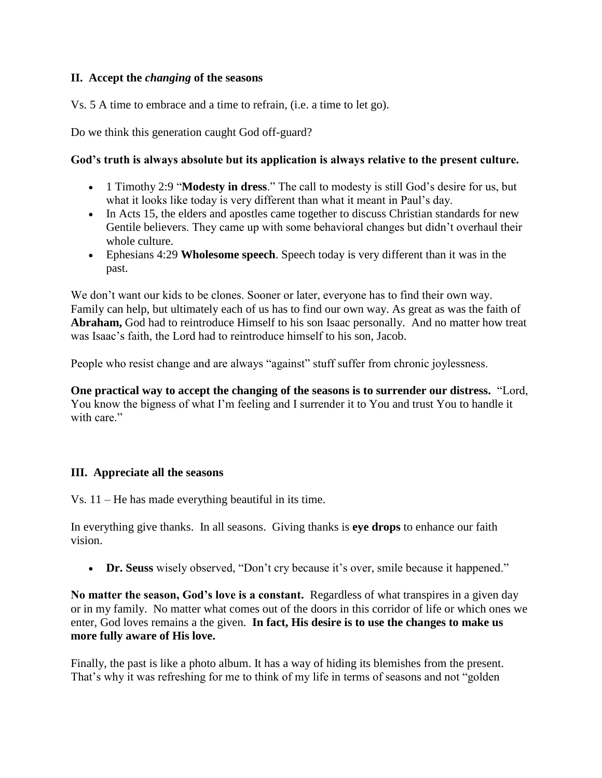# **II. Accept the** *changing* **of the seasons**

Vs. 5 A time to embrace and a time to refrain, (i.e. a time to let go).

Do we think this generation caught God off-guard?

# **God's truth is always absolute but its application is always relative to the present culture.**

- 1 Timothy 2:9 "**Modesty in dress**." The call to modesty is still God's desire for us, but what it looks like today is very different than what it meant in Paul's day.
- In Acts 15, the elders and apostles came together to discuss Christian standards for new Gentile believers. They came up with some behavioral changes but didn't overhaul their whole culture.
- Ephesians 4:29 **Wholesome speech**. Speech today is very different than it was in the past.

We don't want our kids to be clones. Sooner or later, everyone has to find their own way. Family can help, but ultimately each of us has to find our own way. As great as was the faith of **Abraham,** God had to reintroduce Himself to his son Isaac personally. And no matter how treat was Isaac's faith, the Lord had to reintroduce himself to his son, Jacob.

People who resist change and are always "against" stuff suffer from chronic joylessness.

**One practical way to accept the changing of the seasons is to surrender our distress.** "Lord, You know the bigness of what I'm feeling and I surrender it to You and trust You to handle it with care."

## **III. Appreciate all the seasons**

Vs. 11 – He has made everything beautiful in its time.

In everything give thanks. In all seasons. Giving thanks is **eye drops** to enhance our faith vision.

**Dr. Seuss** wisely observed, "Don't cry because it's over, smile because it happened."

**No matter the season, God's love is a constant.** Regardless of what transpires in a given day or in my family. No matter what comes out of the doors in this corridor of life or which ones we enter, God loves remains a the given. **In fact, His desire is to use the changes to make us more fully aware of His love.**

Finally, the past is like a photo album. It has a way of hiding its blemishes from the present. That's why it was refreshing for me to think of my life in terms of seasons and not "golden